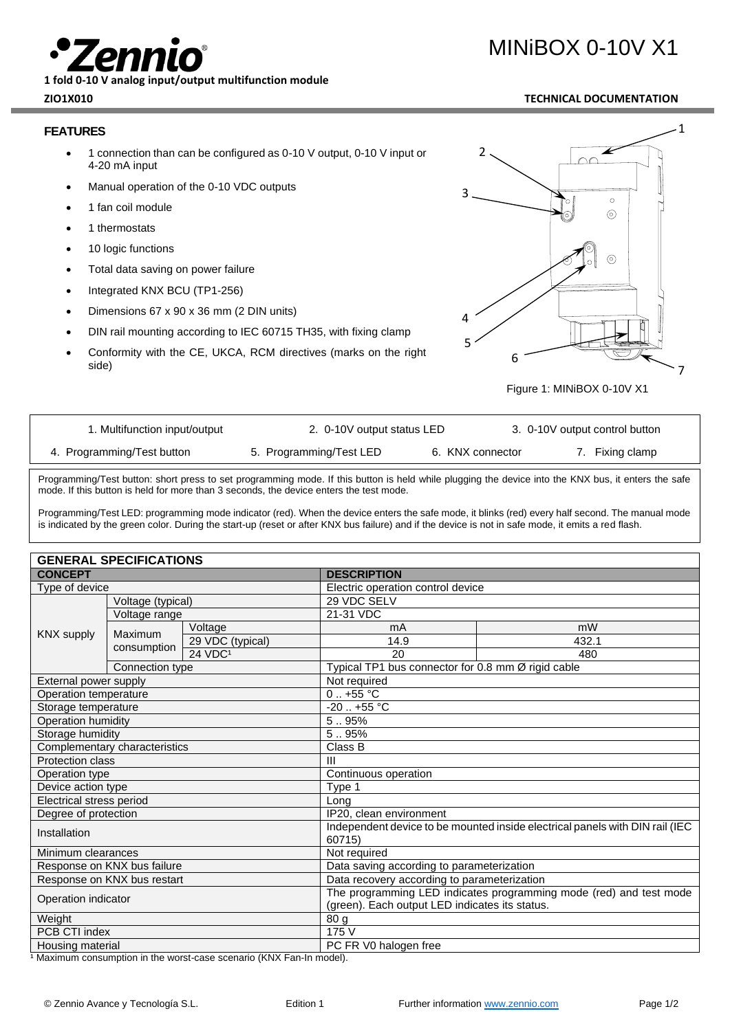**1 fold 0-10 V analog input/output multifunction module**

### **FEATURES**

- 1 connection than can be configured as 0-10 V output, 0-10 V input or 4-20 mA input
- Manual operation of the 0-10 VDC outputs
- 1 fan coil module
- 1 thermostats
- 10 logic functions
- Total data saving on power failure
- Integrated KNX BCU (TP1-256)
- Dimensions 67 x 90 x 36 mm (2 DIN units)
- DIN rail mounting according to IEC 60715 TH35, with fixing clamp
- Conformity with the CE, UKCA, RCM directives (marks on the right side)



Figure 1: MINiBOX 0-10V X1

| 1. Multifunction input/output | 2. 0-10V output status LED |                  | 3. 0-10V output control button |
|-------------------------------|----------------------------|------------------|--------------------------------|
| 4. Programming/Test button    | 5. Programming/Test LED    | 6. KNX connector | 7. Fixing clamp                |

Programming/Test button: short press to set programming mode. If this button is held while plugging the device into the KNX bus, it enters the safe mode. If this button is held for more than 3 seconds, the device enters the test mode.

Programming/Test LED: programming mode indicator (red). When the device enters the safe mode, it blinks (red) every half second. The manual mode is indicated by the green color. During the start-up (reset or after KNX bus failure) and if the device is not in safe mode, it emits a red flash.

| <b>GENERAL SPECIFICATIONS</b> |                 |                                                                                                                      |                                                                              |                                                    |  |  |
|-------------------------------|-----------------|----------------------------------------------------------------------------------------------------------------------|------------------------------------------------------------------------------|----------------------------------------------------|--|--|
| <b>CONCEPT</b>                |                 | <b>DESCRIPTION</b>                                                                                                   |                                                                              |                                                    |  |  |
| Type of device                |                 |                                                                                                                      | Electric operation control device                                            |                                                    |  |  |
| Voltage (typical)             |                 | 29 VDC SELV                                                                                                          |                                                                              |                                                    |  |  |
| <b>KNX supply</b>             | Voltage range   |                                                                                                                      | 21-31 VDC                                                                    |                                                    |  |  |
|                               | Maximum         | Voltage                                                                                                              | mA                                                                           | mW                                                 |  |  |
|                               |                 | 29 VDC (typical)                                                                                                     | 14.9                                                                         | 432.1                                              |  |  |
|                               | consumption     | 24 VDC <sup>1</sup>                                                                                                  | 20                                                                           | 480                                                |  |  |
|                               | Connection type |                                                                                                                      |                                                                              | Typical TP1 bus connector for 0.8 mm Ø rigid cable |  |  |
| External power supply         |                 | Not required                                                                                                         |                                                                              |                                                    |  |  |
| Operation temperature         |                 | $0.1 + 55$ °C                                                                                                        |                                                                              |                                                    |  |  |
| Storage temperature           |                 | $-20$ $+55$ °C                                                                                                       |                                                                              |                                                    |  |  |
| Operation humidity            |                 | 5.95%                                                                                                                |                                                                              |                                                    |  |  |
| Storage humidity              |                 | 5.95%                                                                                                                |                                                                              |                                                    |  |  |
| Complementary characteristics |                 | Class B                                                                                                              |                                                                              |                                                    |  |  |
| <b>Protection class</b>       |                 | $\mathbf{III}$                                                                                                       |                                                                              |                                                    |  |  |
| Operation type                |                 | Continuous operation                                                                                                 |                                                                              |                                                    |  |  |
| Device action type            |                 | Type 1                                                                                                               |                                                                              |                                                    |  |  |
| Electrical stress period      |                 | Long                                                                                                                 |                                                                              |                                                    |  |  |
| Degree of protection          |                 | IP20, clean environment                                                                                              |                                                                              |                                                    |  |  |
| Installation                  |                 | 60715)                                                                                                               | Independent device to be mounted inside electrical panels with DIN rail (IEC |                                                    |  |  |
| Minimum clearances            |                 | Not required                                                                                                         |                                                                              |                                                    |  |  |
| Response on KNX bus failure   |                 | Data saving according to parameterization                                                                            |                                                                              |                                                    |  |  |
| Response on KNX bus restart   |                 | Data recovery according to parameterization                                                                          |                                                                              |                                                    |  |  |
| Operation indicator           |                 | The programming LED indicates programming mode (red) and test mode<br>(green). Each output LED indicates its status. |                                                                              |                                                    |  |  |
| Weight                        |                 | 80 <sub>g</sub>                                                                                                      |                                                                              |                                                    |  |  |
| PCB CTI index                 |                 | 175 V                                                                                                                |                                                                              |                                                    |  |  |
| Housing material              |                 | PC FR V0 halogen free                                                                                                |                                                                              |                                                    |  |  |

1 Maximum consumption in the worst-case scenario (KNX Fan-In model).

# MINiBOX 0-10V X1

## **ZIO1X010 TECHNICAL DOCUMENTATION**